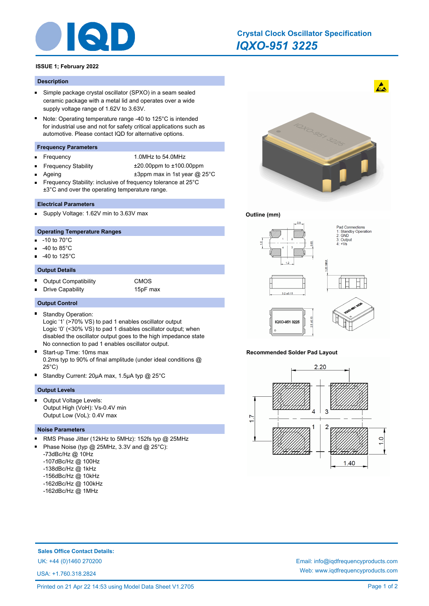

# *IQXO-951 3225* **Crystal Clock Oscillator Specification**

# **ISSUE 1; February 2022**

## **Description**

- $\blacksquare$ Simple package crystal oscillator (SPXO) in a seam sealed ceramic package with a metal lid and operates over a wide supply voltage range of 1.62V to 3.63V.
- $\blacksquare$ Note: Operating temperature range -40 to 125°C is intended for industrial use and not for safety critical applications such as automotive. Please contact IQD for alternative options.

## **Frequency Parameters**

- É
- Frequency 1.0MHz to 54.0MHz
- Ē
- Frequency Stability ±20.00ppm to ±100.00ppm
	- Ageing  $\pm 3$ ppm max in 1st year @ 25°C
- Frequency Stability: inclusive of frequency tolerance at 25°C ±3°C and over the operating temperature range.

## **Electrical Parameters**

Supply Voltage: 1.62V min to 3.63V max

# **Operating Temperature Ranges**

- n. -10 to 70°C
- -40 to 85°C
- -40 to 125°C

## **Output Details**

- $\blacksquare$ Output Compatibility **CMOS**
- Drive Capability 15pF max E

### **Output Control**

Standby Operation: п

Logic '1' (>70% VS) to pad 1 enables oscillator output Logic '0' (<30% VS) to pad 1 disables oscillator output; when disabled the oscillator output goes to the high impedance state No connection to pad 1 enables oscillator output.

- $\blacksquare$ Start-up Time: 10ms max 0.2ms typ to 90% of final amplitude (under ideal conditions @ 25°C)
- Standby Current: 20µA max, 1.5µA typ @ 25°C

#### **Output Levels**

Output Voltage Levels: Output High (VoH): Vs-0.4V min Output Low (VoL): 0.4V max

#### **Noise Parameters**

- RMS Phase Jitter (12kHz to 5MHz): 152fs typ @ 25MHz
- Phase Noise (typ @ 25MHz, 3.3V and @ 25°C):
- -73dBc/Hz @ 10Hz
- -107dBc/Hz @ 100Hz
- -138dBc/Hz @ 1kHz
- -156dBc/Hz @ 10kHz
- -162dBc/Hz @ 100kHz
- -162dBc/Hz @ 1MHz



 $\mathbf{A}$ 

### **Outline (mm)**



#### **Recommended Solder Pad Layout**



# **Sales Office Contact Details:**

USA: +1.760.318.2824

UK: +44 (0)1460 270200 Email: info@iqdfrequencyproducts.com Web: www.iqdfrequencyproducts.com